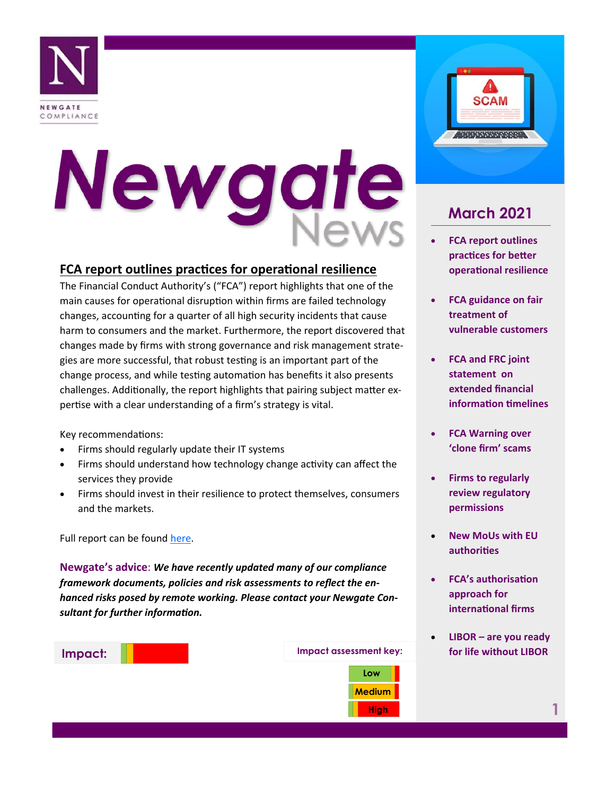

# Newgate

### **FCA report outlines practices for operational resilience**

The Financial Conduct Authority's ("FCA") report highlights that one of the main causes for operational disruption within firms are failed technology changes, accounting for a quarter of all high security incidents that cause harm to consumers and the market. Furthermore, the report discovered that changes made by firms with strong governance and risk management strategies are more successful, that robust testing is an important part of the change process, and while testing automation has benefits it also presents challenges. Additionally, the report highlights that pairing subject matter expertise with a clear understanding of a firm's strategy is vital.

Key recommendations:

- Firms should regularly update their IT systems
- Firms should understand how technology change activity can affect the services they provide
- Firms should invest in their resilience to protect themselves, consumers and the markets.

Full report can be found [here.](https://www.fca.org.uk/publications/multi-firm-reviews/implementing-technology-change)

**Newgate's advice**: *We have recently updated many of our compliance framework documents, policies and risk assessments to reflect the enhanced risks posed by remote working. Please contact your Newgate Consultant for further information.*





## **March 2021**

- **FCA report outlines practices for better operational resilience**
- **FCA guidance on fair treatment of vulnerable customers**
- **FCA and FRC joint statement on extended financial information timelines**
- **FCA Warning over 'clone firm' scams**
- **Firms to regularly review regulatory permissions**
- **New MoUs with EU authorities**
- **FCA's authorisation approach for international firms**
- **LIBOR – are you ready for life without LIBOR**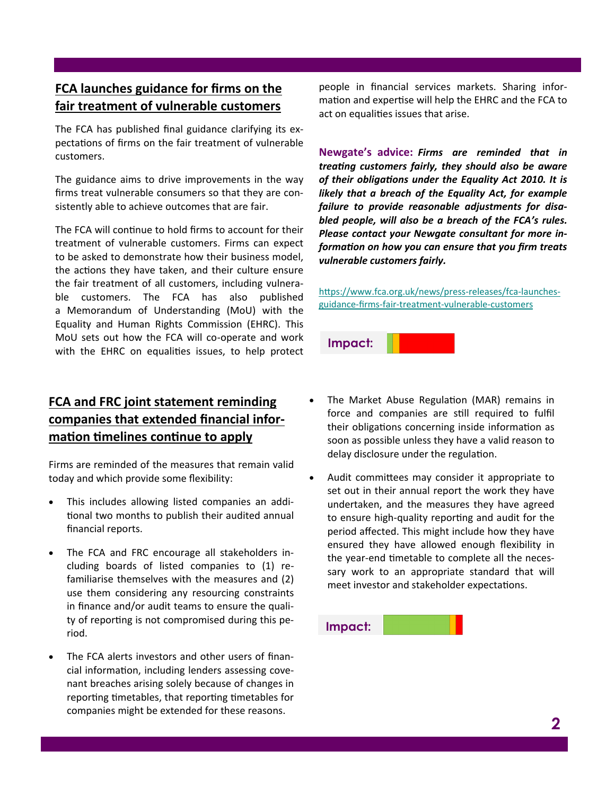### **FCA launches guidance for firms on the fair treatment of vulnerable customers**

The FCA has published final guidance clarifying its expectations of firms on the fair treatment of vulnerable customers.

The guidance aims to drive improvements in the way firms treat vulnerable consumers so that they are consistently able to achieve outcomes that are fair.

The FCA will continue to hold firms to account for their treatment of vulnerable customers. Firms can expect to be asked to demonstrate how their business model, the actions they have taken, and their culture ensure the fair treatment of all customers, including vulnerable customers. The FCA has also published a Memorandum of Understanding (MoU) with the Equality and Human Rights Commission (EHRC). This MoU sets out how the FCA will co-operate and work with the EHRC on equalities issues, to help protect

### **FCA and FRC joint statement reminding companies that extended financial information timelines continue to apply**

Firms are reminded of the measures that remain valid today and which provide some flexibility:

- This includes allowing listed companies an additional two months to publish their audited annual financial reports.
- The FCA and FRC encourage all stakeholders including boards of listed companies to (1) refamiliarise themselves with the measures and (2) use them considering any resourcing constraints in finance and/or audit teams to ensure the quality of reporting is not compromised during this period.
- The FCA alerts investors and other users of financial information, including lenders assessing covenant breaches arising solely because of changes in reporting timetables, that reporting timetables for companies might be extended for these reasons.

people in financial services markets. Sharing information and expertise will help the EHRC and the FCA to act on equalities issues that arise.

**Newgate's advice:** *Firms are reminded that in treating customers fairly, they should also be aware of their obligations under the Equality Act 2010. It is likely that a breach of the Equality Act, for example failure to provide reasonable adjustments for disabled people, will also be a breach of the FCA's rules. Please contact your Newgate consultant for more information on how you can ensure that you firm treats vulnerable customers fairly.* 

https://www.fca.org.uk/news/press-releases/fca-launchesguidance-firms-fair-treatment-vulnerable-customers



- The Market Abuse Regulation (MAR) remains in force and companies are still required to fulfil their obligations concerning inside information as soon as possible unless they have a valid reason to delay disclosure under the regulation.
- Audit committees may consider it appropriate to set out in their annual report the work they have undertaken, and the measures they have agreed to ensure high-quality reporting and audit for the period affected. This might include how they have ensured they have allowed enough flexibility in the year-end timetable to complete all the necessary work to an appropriate standard that will meet investor and stakeholder expectations.

**Impact:**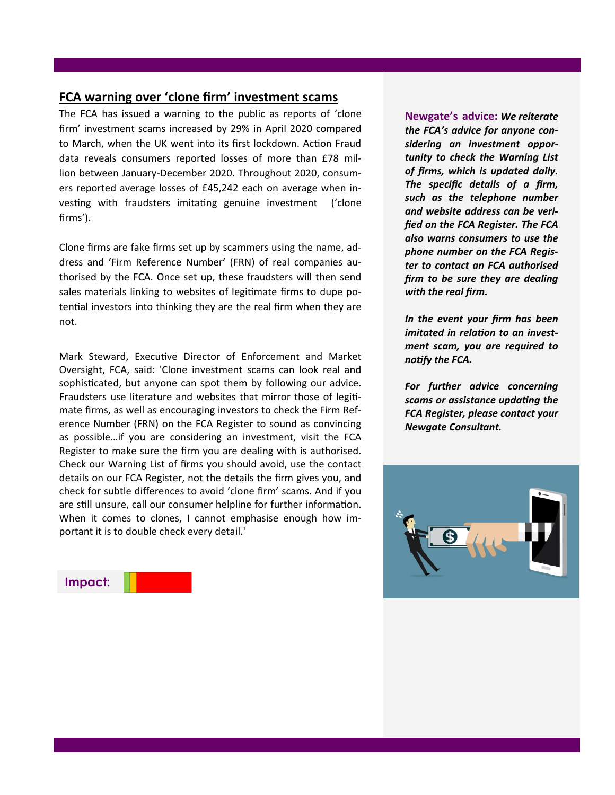#### **FCA warning over 'clone firm' investment scams**

The FCA has issued a warning to the public as reports of 'clone firm' investment scams increased by 29% in April 2020 compared to March, when the UK went into its first lockdown. Action Fraud data reveals consumers reported losses of more than £78 million between January-December 2020. Throughout 2020, consumers reported average losses of £45,242 each on average when investing with fraudsters imitating genuine investment ('clone firms').

Clone firms are fake firms set up by scammers using the name, address and 'Firm Reference Number' (FRN) of real companies authorised by the FCA. Once set up, these fraudsters will then send sales materials linking to websites of legitimate firms to dupe potential investors into thinking they are the real firm when they are not.

Mark Steward, Executive Director of Enforcement and Market Oversight, FCA, said: 'Clone investment scams can look real and sophisticated, but anyone can spot them by following our advice. Fraudsters use literature and websites that mirror those of legitimate firms, as well as encouraging investors to check the Firm Reference Number (FRN) on the FCA Register to sound as convincing as possible…if you are considering an investment, visit the FCA Register to make sure the firm you are dealing with is authorised. Check our Warning List of firms you should avoid, use the contact details on our FCA Register, not the details the firm gives you, and check for subtle differences to avoid 'clone firm' scams. And if you are still unsure, call our consumer helpline for further information. When it comes to clones, I cannot emphasise enough how important it is to double check every detail.'

**Newgate's advice:** *We reiterate the FCA's advice for anyone considering an investment opportunity to check the Warning List [of firms,](http://www.fca.org.uk/scamsmart/warning-list) which is updated daily. The specific details of a firm, such as the telephone number and website address can be verified on the [FCA Register.](https://register.fca.org.uk/s) The FCA also warns consumers to use the phone number on the FCA Register to contact an FCA authorised firm to be sure they are dealing with the real firm.* 

*In the event your firm has been imitated in relation to an investment scam, you are required to notify the FCA.* 

*For further advice concerning scams or assistance updating the FCA Register, please contact your Newgate Consultant.* 



**Impact:**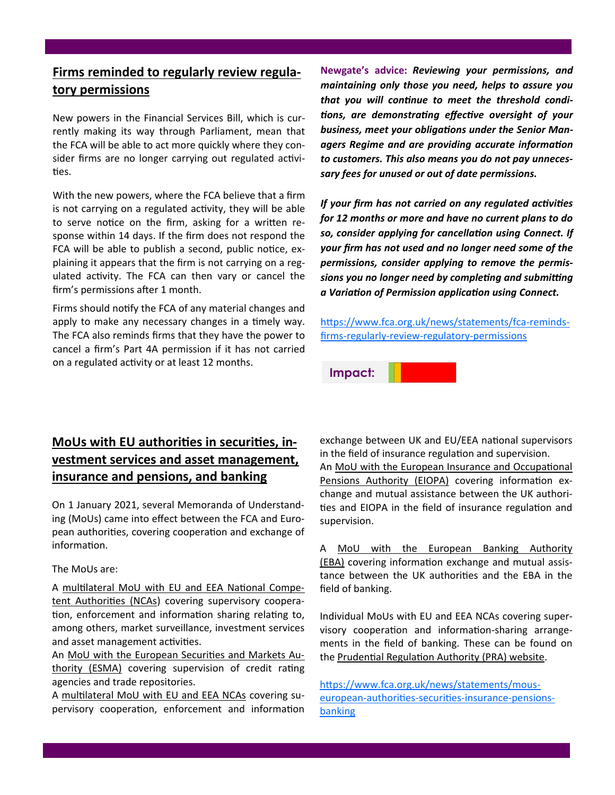#### **Firms reminded to regularly review regulatory permissions**

New powers in the Financial Services Bill, which is currently making its way through Parliament, mean that the FCA will be able to act more quickly where they consider firms are no longer carrying out regulated activities.

With the new powers, where the FCA believe that a firm is not carrying on a regulated activity, they will be able to serve notice on the firm, asking for a written response within 14 days. If the firm does not respond the FCA will be able to publish a second, public notice, explaining it appears that the firm is not carrying on a regulated activity. The FCA can then vary or cancel the firm's permissions after 1 month.

Firms should notify the FCA of any material changes and apply to make any necessary changes in a timely way. The FCA also reminds firms that they have the power to cancel a firm's Part 4A permission if it has not carried on a regulated activity or at least 12 months.

**Newgate's advice:** *Reviewing your permissions, and maintaining only those you need, helps to assure you that you will continue to meet the threshold conditions, are demonstrating effective oversight of your business, meet your obligations under the Senior Managers Regime and are providing accurate information to customers. This also means you do not pay unnecessary fees for unused or out of date permissions.* 

*If your firm has not carried on any regulated activities for 12 months or more and have no current plans to do so, consider applying for cancellation using Connect. If your firm has not used and no longer need some of the permissions, consider applying to remove the permissions you no longer need by completing and submitting a Variation of Permission application using Connect.* 

[https://www.fca.org.uk/news/statements/fca](https://www.fca.org.uk/news/statements/fca-reminds-firms-regularly-review-regulatory-permissions)-remindsfirms-regularly-review-regulatory-[permissions](https://www.fca.org.uk/news/statements/fca-reminds-firms-regularly-review-regulatory-permissions)

**Impact:**

#### **MoUs with EU authorities in securities, investment services and asset management, insurance and pensions, and banking**

On 1 January 2021, several Memoranda of Understanding (MoUs) came into effect between the FCA and European authorities, covering cooperation and exchange of information.

#### The MoUs are:

A [multilateral MoU with EU and EEA National Compe](https://www.fca.org.uk/publication/mou/mmou-eu-fca.pdf)[tent Authorities \(NCAs\)](https://www.fca.org.uk/publication/mou/mmou-eu-fca.pdf) covering supervisory cooperation, enforcement and information sharing relating to, among others, market surveillance, investment services and asset management activities.

An [MoU with the European Securities and Markets Au](https://www.fca.org.uk/publication/mou/mou-esma-fca.pdf)[thority \(ESMA\)](https://www.fca.org.uk/publication/mou/mou-esma-fca.pdf) covering supervision of credit rating agencies and trade repositories.

A [multilateral MoU with EU and EEA NCAs](https://www.fca.org.uk/publication/mou/mmou-eiopa-ncas-bank-fca.pdf) covering supervisory cooperation, enforcement and information exchange between UK and EU/EEA national supervisors in the field of insurance regulation and supervision. An [MoU with the European Insurance and Occupational](https://www.fca.org.uk/publication/mou/mou-eiopa-bank-fca.pdf)  [Pensions Authority \(EIOPA\)](https://www.fca.org.uk/publication/mou/mou-eiopa-bank-fca.pdf) covering information exchange and mutual assistance between the UK authorities and EIOPA in the field of insurance regulation and supervision.

A [MoU with the European Banking Authority](https://www.fca.org.uk/publication/mou/mou-bank-fca-eba.pdf)  [\(EBA\)](https://www.fca.org.uk/publication/mou/mou-bank-fca-eba.pdf) covering information exchange and mutual assistance between the UK authorities and the EBA in the field of banking.

Individual MoUs with EU and EEA NCAs covering supervisory cooperation and information-sharing arrangements in the field of banking. These can be found on the [Prudential Regulation Authority](https://www.bankofengland.co.uk/about/governance-and-funding) (PRA) website.

[https://www.fca.org.uk/news/statements/mous](https://www.fca.org.uk/news/statements/mous-european-authorities-securities-insurance-pensions-banking)european-[authorities](https://www.fca.org.uk/news/statements/mous-european-authorities-securities-insurance-pensions-banking)-securities-insurance-pensions[banking](https://www.fca.org.uk/news/statements/mous-european-authorities-securities-insurance-pensions-banking)